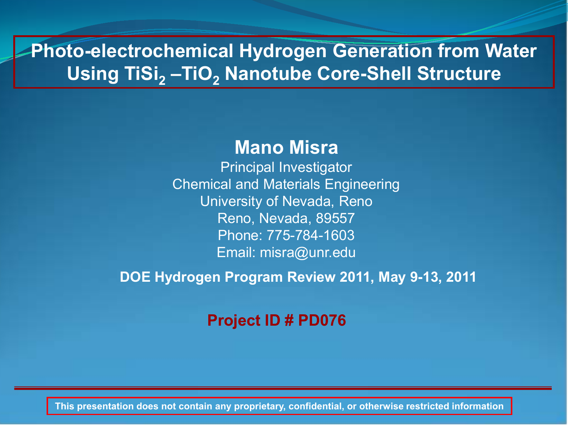# **Photo-electrochemical Hydrogen Generation from Water Using TiSi<sub>2</sub> –TiO<sub>2</sub> Nanotube Core-Shell Structure**

## **Mano Misra**

Principal Investigator Chemical and Materials Engineering University of Nevada, Reno Reno, Nevada, 89557 Phone: 775-784-1603 Email: misra@unr.edu

**DOE Hydrogen Program Review 2011, May 9-13, 2011**

### **Project ID # PD076**

**This presentation does not contain any proprietary, confidential, or otherwise restricted information**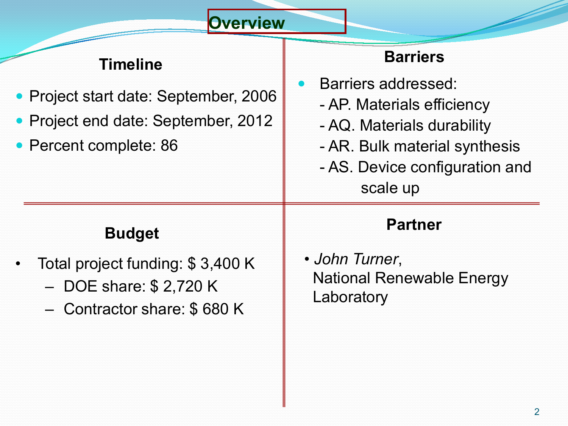## **Overview**

# **Timeline**

- Project start date: September, 2006
- Project end date: September, 2012
- Percent complete: 86

# **Barriers**

- Barriers addressed:
	- AP. Materials efficiency
	- AQ. Materials durability
	- AR. Bulk material synthesis
	- AS. Device configuration and scale up

# **Budget**

- Total project funding: \$ 3,400 K
	- DOE share: \$ 2,720 K
	- Contractor share: \$ 680 K

## **Partner**

• *John Turner*, National Renewable Energy Laboratory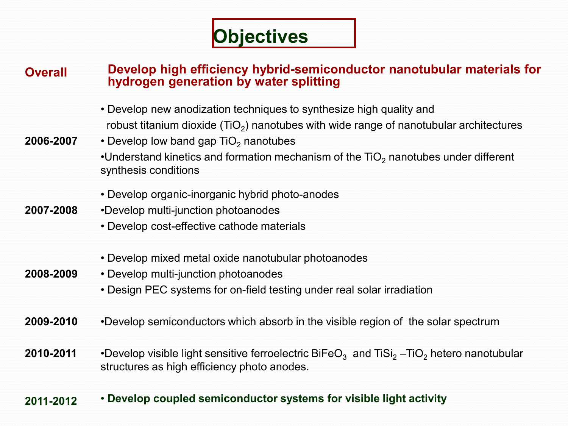# **Objectives**

### **Overall Develop high efficiency hybrid-semiconductor nanotubular materials for hydrogen generation by water splitting**

• Develop new anodization techniques to synthesize high quality and robust titanium dioxide ( $TiO<sub>2</sub>$ ) nanotubes with wide range of nanotubular architectures

#### **2006-2007** • Develop low band gap  $TiO<sub>2</sub>$  nanotubes •Understand kinetics and formation mechanism of the  $TiO<sub>2</sub>$  nanotubes under different synthesis conditions

- Develop organic-inorganic hybrid photo-anodes
- **2007-2008** •Develop multi-junction photoanodes
	- Develop cost-effective cathode materials
	- Develop mixed metal oxide nanotubular photoanodes
- **2008-2009** • Develop multi-junction photoanodes
	- Design PEC systems for on-field testing under real solar irradiation
- **2009-2010** •Develop semiconductors which absorb in the visible region of the solar spectrum
- **2010-2011** •Develop visible light sensitive ferroelectric BiFeO<sub>3</sub> and TiSi<sub>2</sub> –TiO<sub>2</sub> hetero nanotubular structures as high efficiency photo anodes.

#### **2011-2012** • **Develop coupled semiconductor systems for visible light activity**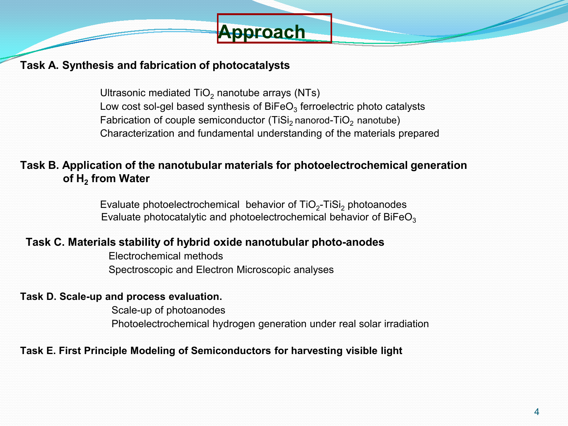

#### **Task A. Synthesis and fabrication of photocatalysts**

Ultrasonic mediated  $TiO<sub>2</sub>$  nanotube arrays (NTs) Low cost sol-gel based synthesis of  $B_1FeO_3$  ferroelectric photo catalysts Fabrication of couple semiconductor (TiSi<sub>2</sub> nanorod-TiO<sub>2</sub> nanotube) Characterization and fundamental understanding of the materials prepared

#### **Task B. Application of the nanotubular materials for photoelectrochemical generation of H2 from Water**

Evaluate photoelectrochemical behavior of  $TiO<sub>2</sub>-TiSi<sub>2</sub>$  photoanodes Evaluate photocatalytic and photoelectrochemical behavior of  $B_1FeO<sub>3</sub>$ 

#### **Task C. Materials stability of hybrid oxide nanotubular photo-anodes**

Electrochemical methods Spectroscopic and Electron Microscopic analyses

#### **Task D. Scale-up and process evaluation.**

Scale-up of photoanodes Photoelectrochemical hydrogen generation under real solar irradiation

#### **Task E. First Principle Modeling of Semiconductors for harvesting visible light**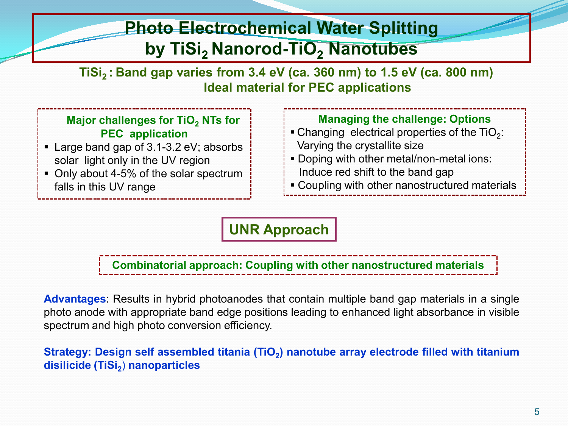# **Photo Electrochemical Water Splitting by TiSi, Nanorod-TiO, Nanotubes**

**TiSi2 : Band gap varies from 3.4 eV (ca. 360 nm) to 1.5 eV (ca. 800 nm) Ideal material for PEC applications**

### **Major challenges for TiO<sub>2</sub> NTs for PEC application**

- Large band gap of 3.1-3.2 eV; absorbs solar light only in the UV region
- Only about 4-5% of the solar spectrum falls in this UV range

### **Managing the challenge: Options**

- Changing electrical properties of the  $TiO<sub>2</sub>$ : Varying the crystallite size
- Doping with other metal/non-metal ions: Induce red shift to the band gap
- **Example 2** Coupling with other nanostructured materials

### **UNR Approach**

**Combinatorial approach: Coupling with other nanostructured materials**

**Advantages**: Results in hybrid photoanodes that contain multiple band gap materials in a single photo anode with appropriate band edge positions leading to enhanced light absorbance in visible spectrum and high photo conversion efficiency.

**Strategy: Design self assembled titania (TiO<sub>2</sub>) nanotube array electrode filled with titanium disilicide (TiSi2**) **nanoparticles**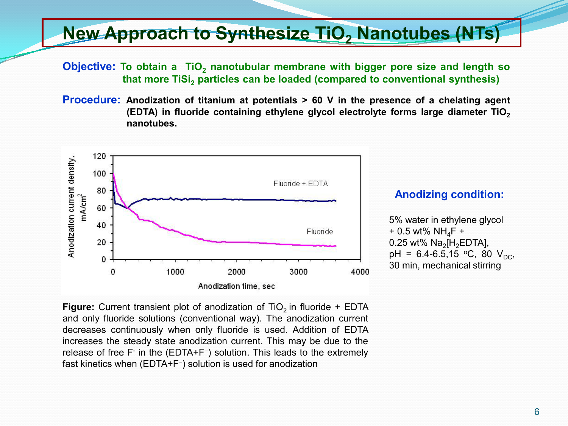# **New Approach to Synthesize TiO<sub>2</sub> Nanotubes (NTs)**

**Objective:** To obtain a TiO<sub>2</sub> nanotubular membrane with bigger pore size and length so **that more TiSi, particles can be loaded (compared to conventional synthesis)** 

**Procedure: Anodization of titanium at potentials > 60 V in the presence of a chelating agent (EDTA) in fluoride containing ethylene glycol electrolyte forms large diameter TiO2 nanotubes.**



#### **Anodizing condition:**

5% water in ethylene glycol  $+ 0.5$  wt% NH<sub>4</sub>F + 0.25 wt%  $Na<sub>2</sub>[H<sub>2</sub>EDTA]$ , pH =  $6.4 - 6.5, 15$  °C, 80 V<sub>DC</sub>, 30 min, mechanical stirring

**Figure:** Current transient plot of anodization of  $TiO<sub>2</sub>$  in fluoride + EDTA and only fluoride solutions (conventional way). The anodization current decreases continuously when only fluoride is used. Addition of EDTA increases the steady state anodization current. This may be due to the release of free F- in the (EDTA+F<sup>−</sup>) solution. This leads to the extremely fast kinetics when (EDTA+F<sup>−</sup>) solution is used for anodization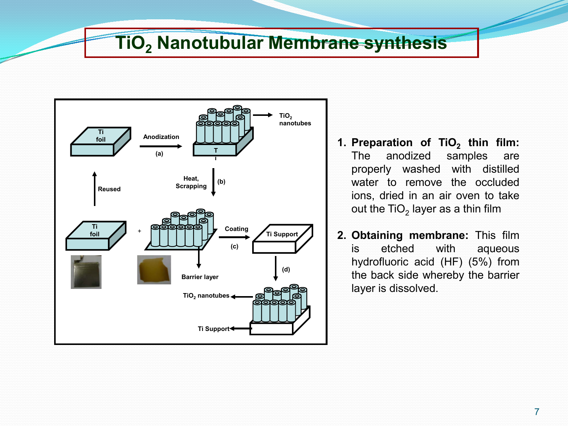# **TiO2 Nanotubular Membrane synthesis**



- **1. Preparation of TiO<sub>2</sub> thin film:**<br>The anodized samples are anodized samples are properly washed with distilled water to remove the occluded ions, dried in an air oven to take out the TiO<sub>2</sub> layer as a thin film
- **2. Obtaining membrane:** This film is etched with aqueous hydrofluoric acid (HF) (5%) from the back side whereby the barrier layer is dissolved.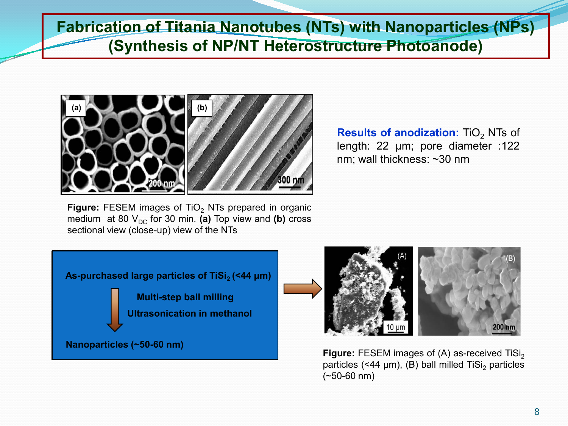**Fabrication of Titania Nanotubes (NTs) with Nanoparticles (NPs) (Synthesis of NP/NT Heterostructure Photoanode)**



**Results of anodization:** TiO<sub>2</sub> NTs of length: 22 μm; pore diameter :122 nm; wall thickness: ~30 nm

**Figure:** FESEM images of TiO<sub>2</sub> NTs prepared in organic medium at 80  $V_{DC}$  for 30 min. **(a)** Top view and **(b)** cross sectional view (close-up) view of the NTs

**As-purchased large particles of TiSi<sub>2</sub> (<44 µm)** 

**Multi-step ball milling Ultrasonication in methanol**

**Nanoparticles (~50-60 nm)**



**Figure:** FESEM images of (A) as-received TiSi<sub>2</sub> particles  $($ <44 µm $)$ ,  $(B)$  ball milled TiSi<sub>2</sub> particles (~50-60 nm)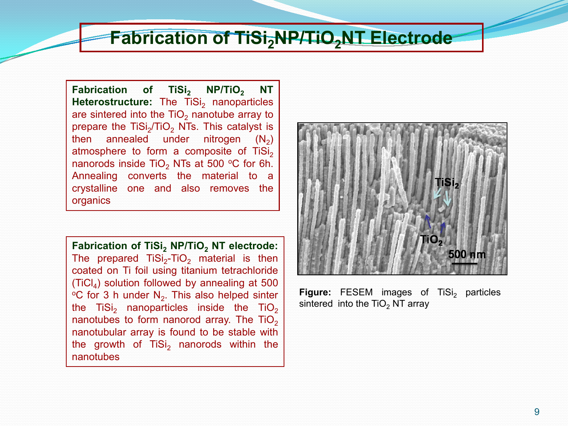# **Fabrication of TiSi<sub>2</sub>NP/TiO<sub>2</sub>NT Electrode**

**Fabrication** of **TiSi**<sub>2</sub> **NP/TiO<sub>2</sub> <b>NT Heterostructure:** The TiSi<sub>2</sub> nanoparticles are sintered into the  $TiO<sub>2</sub>$  nanotube array to prepare the  $TiSi<sub>2</sub>/TiO<sub>2</sub> NTs$ . This catalyst is then annealed under nitrogen  $(N_2)$ atmosphere to form a composite of  $TiSi<sub>2</sub>$ nanorods inside TiO<sub>2</sub> NTs at 500  $\degree$ C for 6h. Annealing converts the material to a crystalline one and also removes the organics

**Fabrication of TiSi, NP/TiO, NT electrode:** The prepared  $TiSi<sub>2</sub>-TiO<sub>2</sub>$  material is then coated on Ti foil using titanium tetrachloride  $(TiCl<sub>4</sub>)$  solution followed by annealing at 500  $\degree$ C for 3 h under N<sub>2</sub>. This also helped sinter the TiSi<sub>2</sub> nanoparticles inside the TiO<sub>2</sub> nanotubes to form nanorod array. The  $TiO<sub>2</sub>$ nanotubular array is found to be stable with the growth of  $TiSi<sub>2</sub>$  nanorods within the nanotubes



**Figure:** FESEM images of TiSi<sub>2</sub> particles sintered into the  $TiO<sub>2</sub> NT$  array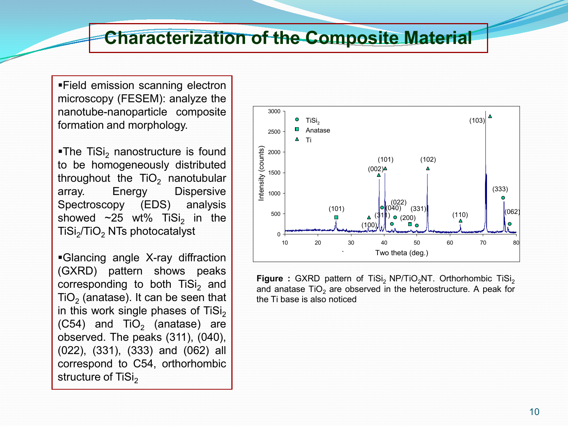# **Characterization of the Composite Material**

Field emission scanning electron microscopy (FESEM): analyze the nanotube-nanoparticle composite formation and morphology.

 $\blacksquare$ The TiSi<sub>2</sub> nanostructure is found to be homogeneously distributed throughout the  $TiO<sub>2</sub>$  nanotubular array. Energy Dispersive Spectroscopy (EDS) analysis showed  $\sim$ 25 wt% TiSi<sub>2</sub> in the TiSi<sub>2</sub>/TiO<sub>2</sub> NTs photocatalyst

Glancing angle X-ray diffraction (GXRD) pattern shows peaks corresponding to both TiSi<sub>2</sub> and  $TiO<sub>2</sub>$  (anatase). It can be seen that in this work single phases of  $\text{TiSi}_2$  $(C54)$  and TiO<sub>2</sub> (anatase) are observed. The peaks (311), (040), (022), (331), (333) and (062) all correspond to C54, orthorhombic structure of TiSi<sub>2</sub>



**Figure :** GXRD pattern of TiSi<sub>2</sub> NP/TiO<sub>2</sub>NT. Orthorhombic TiSi<sub>2</sub> and anatase  $TiO<sub>2</sub>$  are observed in the heterostructure. A peak for the Ti base is also noticed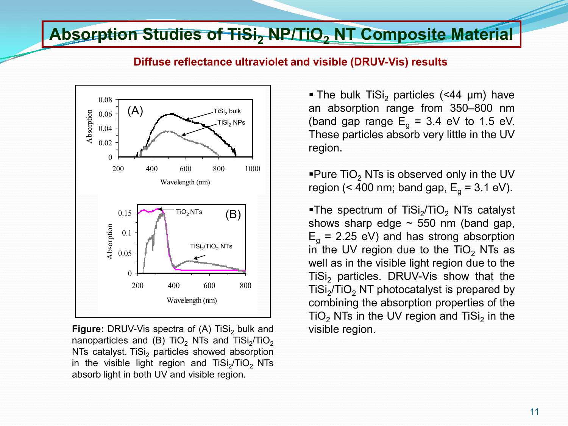# **Absorption Studies of TiSi<sub>2</sub> NP/TiO<sub>2</sub> NT Composite Material**



**Diffuse reflectance ultraviolet and visible (DRUV-Vis) results** 

**Figure:** DRUV-Vis spectra of (A) TiSi<sub>2</sub> bulk and nanoparticles and (B) TiO<sub>2</sub> NTs and TiSi<sub>2</sub>/TiO<sub>2</sub> NTs catalyst. TiSi<sub>2</sub> particles showed absorption in the visible light region and  $TiSi<sub>2</sub>/TiO<sub>2</sub> NTs$ absorb light in both UV and visible region.

• The bulk TiSi<sub>2</sub> particles (<44  $\mu$ m) have an absorption range from 350–800 nm (band gap range  $E<sub>g</sub> = 3.4$  eV to 1.5 eV. These particles absorb very little in the UV region.

**Pure TiO<sub>2</sub> NTs is observed only in the UV** region (< 400 nm; band gap,  $E_a = 3.1$  eV).

The spectrum of TiSi<sub>2</sub>/TiO<sub>2</sub> NTs catalyst shows sharp edge  $\sim$  550 nm (band gap,  $E<sub>g</sub>$  = 2.25 eV) and has strong absorption in the UV region due to the  $TiO<sub>2</sub>$  NTs as well as in the visible light region due to the TiSi<sub>2</sub> particles. DRUV-Vis show that the  $TiSi<sub>2</sub>/TiO<sub>2</sub> NT photocatalyst is prepared by$ combining the absorption properties of the  $TiO<sub>2</sub> NTs$  in the UV region and TiSi<sub>2</sub> in the visible region.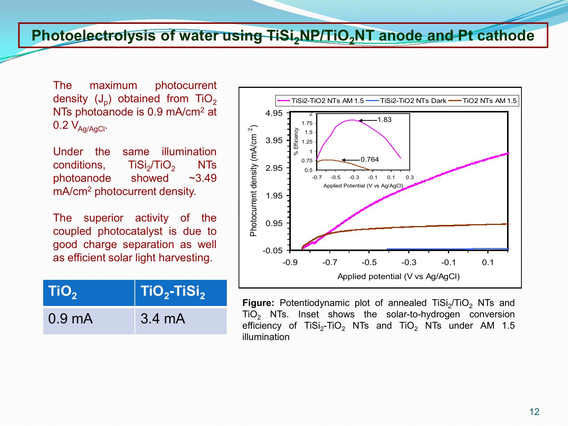### **Photoelectrolysis of water using TiSi, NP/TiO, NT anode and Pt cathode**

The maximum photocurrent density  $(J_n)$  obtained from TiO<sub>2</sub> NTs photoanode is 0.9 mA/cm<sup>2</sup> at  $0.2 V_{\text{Aq/AqCl}}$ .

Under the same illumination conditions,  $\overline{TSi}_2/\overline{TiO}_2$  NTs<br>photoanode showed ~3.49 photoanode showed ~3.49 mA/cm2 photocurrent density.

The superior activity of the coupled photocatalyst is due to good charge separation as well as efficient solar light harvesting.

| TiO <sub>2</sub>   | $\parallel$ TiO <sub>2</sub> -TiSi <sub>2</sub> |
|--------------------|-------------------------------------------------|
| 0.9 <sub>m</sub> A | $3.4 \text{ mA}$                                |



Figure: Potentiodynamic plot of annealed TiSi<sub>2</sub>/TiO<sub>2</sub> NTs and TiO<sub>2</sub> NTs. Inset shows the solar-to-hydrogen conversion efficiency of TiSi<sub>2</sub>-TiO<sub>2</sub> NTs and TiO<sub>2</sub> NTs under AM 1.5 illumination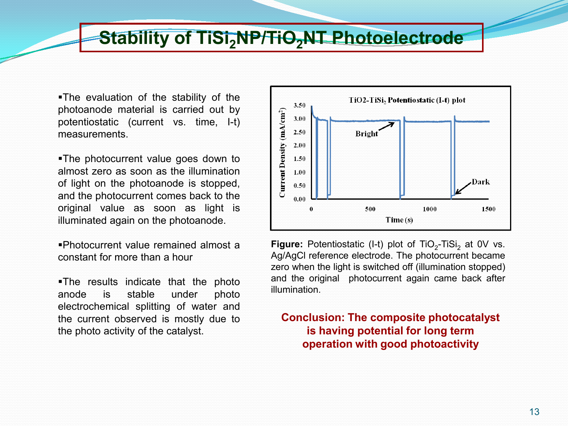# **Stability of TiSi, NP/TiO, NT Photoelectrode**

The evaluation of the stability of the photoanode material is carried out by potentiostatic (current vs. time, I-t) measurements.

The photocurrent value goes down to almost zero as soon as the illumination of light on the photoanode is stopped, and the photocurrent comes back to the original value as soon as light is illuminated again on the photoanode.

Photocurrent value remained almost a constant for more than a hour

The results indicate that the photo anode is stable under photo electrochemical splitting of water and the current observed is mostly due to the photo activity of the catalyst.



**Figure:** Potentiostatic (I-t) plot of TiO<sub>2</sub>-TiSi<sub>2</sub> at 0V vs. Ag/AgCl reference electrode. The photocurrent became zero when the light is switched off (illumination stopped) and the original photocurrent again came back after illumination.

#### **Conclusion: The composite photocatalyst is having potential for long term operation with good photoactivity**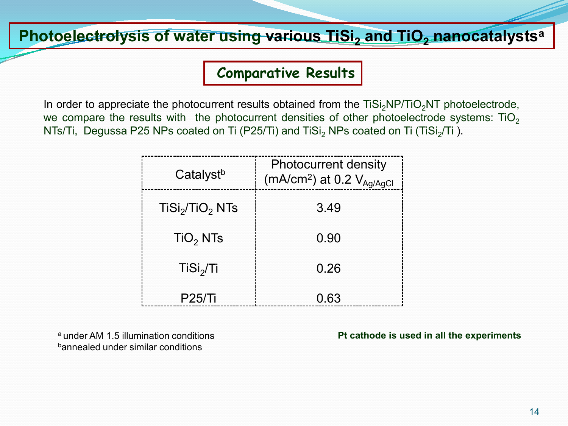## **Photoelectrolysis of water using various TiSi<sub>2</sub> and TiO<sub>2</sub> nanocatalysts<sup>a</sup>**

### **Comparative Results**

In order to appreciate the photocurrent results obtained from the  $TiSi<sub>2</sub>NP/TiO<sub>2</sub>NT$  photoelectrode, we compare the results with the photocurrent densities of other photoelectrode systems:  $TiO<sub>2</sub>$ NTs/Ti, Degussa P25 NPs coated on Ti (P25/Ti) and TiSi<sub>2</sub> NPs coated on Ti (TiSi<sub>2</sub>/Ti).

| Catalyst <sup>b</sup>                   | <b>Photocurrent density</b><br>(mA/cm <sup>2</sup> ) at 0.2 $V_{Ag/AgCl}$ |
|-----------------------------------------|---------------------------------------------------------------------------|
| TiSi <sub>2</sub> /TiO <sub>2</sub> NTs | 3.49                                                                      |
| TiO <sub>2</sub> NTs                    | 0.90                                                                      |
| TiSi <sub>2</sub> /Ti                   | 0.26                                                                      |
| <b>P25/Ti</b>                           | 0.63                                                                      |

<sup>a</sup> under AM 1.5 illumination conditions bannealed under similar conditions

**Pt cathode is used in all the experiments**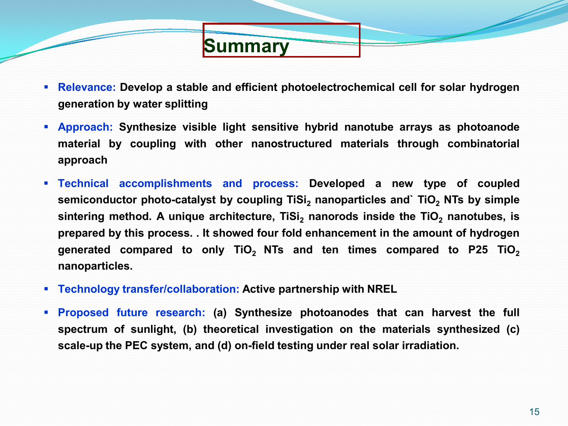**Relevance: Develop a stable and efficient photoelectrochemical cell for solar hydrogen generation by water splitting**

**Summary**

- **Approach: Synthesize visible light sensitive hybrid nanotube arrays as photoanode material by coupling with other nanostructured materials through combinatorial approach**
- **Technical accomplishments and process: Developed a new type of coupled semiconductor** photo-catalyst by coupling TiSi<sub>2</sub> nanoparticles and` TiO<sub>2</sub> NTs by simple **sintering** method. A unique architecture, TiSi<sub>2</sub> nanorods inside the TiO<sub>2</sub> nanotubes, is **prepared by this process. . It showed four fold enhancement in the amount of hydrogen generated compared to only TiO2 NTs and ten times compared to P25 TiO2 nanoparticles.**
- **Technology transfer/collaboration: Active partnership with NREL**
- **Proposed future research: (a) Synthesize photoanodes that can harvest the full spectrum of sunlight, (b) theoretical investigation on the materials synthesized (c) scale-up the PEC system, and (d) on-field testing under real solar irradiation.**